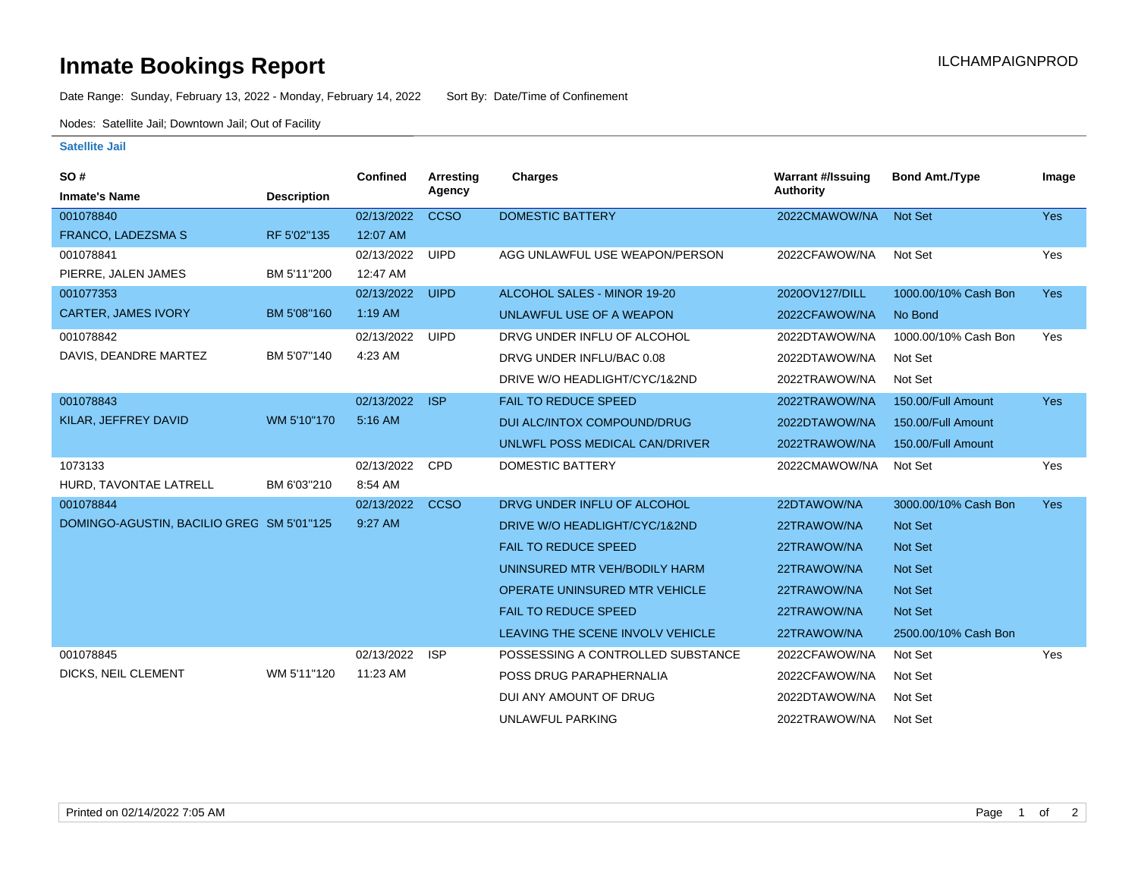## **Inmate Bookings Report International Contract Contract Contract Contract Contract Contract Contract Contract Contract Contract Contract Contract Contract Contract Contract Contract Contract Contract Contract Contract Co**

Date Range: Sunday, February 13, 2022 - Monday, February 14, 2022 Sort By: Date/Time of Confinement

Nodes: Satellite Jail; Downtown Jail; Out of Facility

## **Satellite Jail**

| <b>SO#</b>                                |                    | <b>Confined</b> | Arresting<br>Agency | <b>Charges</b>                    | <b>Warrant #/Issuing</b><br><b>Authority</b> | <b>Bond Amt./Type</b> | Image      |
|-------------------------------------------|--------------------|-----------------|---------------------|-----------------------------------|----------------------------------------------|-----------------------|------------|
| <b>Inmate's Name</b>                      | <b>Description</b> |                 |                     |                                   |                                              |                       |            |
| 001078840                                 |                    | 02/13/2022      | <b>CCSO</b>         | <b>DOMESTIC BATTERY</b>           | 2022CMAWOW/NA                                | <b>Not Set</b>        | Yes        |
| <b>FRANCO, LADEZSMA S</b>                 | RF 5'02"135        | 12:07 AM        |                     |                                   |                                              |                       |            |
| 001078841                                 |                    | 02/13/2022      | <b>UIPD</b>         | AGG UNLAWFUL USE WEAPON/PERSON    | 2022CFAWOW/NA                                | Not Set               | Yes        |
| PIERRE, JALEN JAMES                       | BM 5'11"200        | 12:47 AM        |                     |                                   |                                              |                       |            |
| 001077353                                 |                    | 02/13/2022      | <b>UIPD</b>         | ALCOHOL SALES - MINOR 19-20       | 2020OV127/DILL                               | 1000.00/10% Cash Bon  | <b>Yes</b> |
| <b>CARTER, JAMES IVORY</b>                | BM 5'08"160        | $1:19$ AM       |                     | UNLAWFUL USE OF A WEAPON          | 2022CFAWOW/NA                                | No Bond               |            |
| 001078842                                 |                    | 02/13/2022      | <b>UIPD</b>         | DRVG UNDER INFLU OF ALCOHOL       | 2022DTAWOW/NA                                | 1000.00/10% Cash Bon  | Yes        |
| DAVIS, DEANDRE MARTEZ                     | BM 5'07"140        | 4:23 AM         |                     | DRVG UNDER INFLU/BAC 0.08         | 2022DTAWOW/NA                                | Not Set               |            |
|                                           |                    |                 |                     | DRIVE W/O HEADLIGHT/CYC/1&2ND     | 2022TRAWOW/NA                                | Not Set               |            |
| 001078843                                 |                    | 02/13/2022      | <b>ISP</b>          | <b>FAIL TO REDUCE SPEED</b>       | 2022TRAWOW/NA                                | 150.00/Full Amount    | <b>Yes</b> |
| KILAR, JEFFREY DAVID                      | WM 5'10"170        | 5:16 AM         |                     | DUI ALC/INTOX COMPOUND/DRUG       | 2022DTAWOW/NA                                | 150.00/Full Amount    |            |
|                                           |                    |                 |                     | UNLWFL POSS MEDICAL CAN/DRIVER    | 2022TRAWOW/NA                                | 150.00/Full Amount    |            |
| 1073133                                   |                    | 02/13/2022      | <b>CPD</b>          | DOMESTIC BATTERY                  | 2022CMAWOW/NA                                | Not Set               | Yes        |
| HURD. TAVONTAE LATRELL                    | BM 6'03"210        | 8:54 AM         |                     |                                   |                                              |                       |            |
| 001078844                                 |                    | 02/13/2022      | <b>CCSO</b>         | DRVG UNDER INFLU OF ALCOHOL       | 22DTAWOW/NA                                  | 3000.00/10% Cash Bon  | <b>Yes</b> |
| DOMINGO-AGUSTIN, BACILIO GREG SM 5'01"125 |                    | 9:27 AM         |                     | DRIVE W/O HEADLIGHT/CYC/1&2ND     | 22TRAWOW/NA                                  | <b>Not Set</b>        |            |
|                                           |                    |                 |                     | <b>FAIL TO REDUCE SPEED</b>       | 22TRAWOW/NA                                  | <b>Not Set</b>        |            |
|                                           |                    |                 |                     | UNINSURED MTR VEH/BODILY HARM     | 22TRAWOW/NA                                  | <b>Not Set</b>        |            |
|                                           |                    |                 |                     | OPERATE UNINSURED MTR VEHICLE     | 22TRAWOW/NA                                  | <b>Not Set</b>        |            |
|                                           |                    |                 |                     | <b>FAIL TO REDUCE SPEED</b>       | 22TRAWOW/NA                                  | <b>Not Set</b>        |            |
|                                           |                    |                 |                     | LEAVING THE SCENE INVOLV VEHICLE  | 22TRAWOW/NA                                  | 2500.00/10% Cash Bon  |            |
| 001078845                                 |                    | 02/13/2022      | <b>ISP</b>          | POSSESSING A CONTROLLED SUBSTANCE | 2022CFAWOW/NA                                | Not Set               | Yes        |
| DICKS, NEIL CLEMENT                       | WM 5'11"120        | 11:23 AM        |                     | POSS DRUG PARAPHERNALIA           | 2022CFAWOW/NA                                | Not Set               |            |
|                                           |                    |                 |                     | DUI ANY AMOUNT OF DRUG            | 2022DTAWOW/NA                                | Not Set               |            |
|                                           |                    |                 |                     | UNLAWFUL PARKING                  | 2022TRAWOW/NA                                | Not Set               |            |